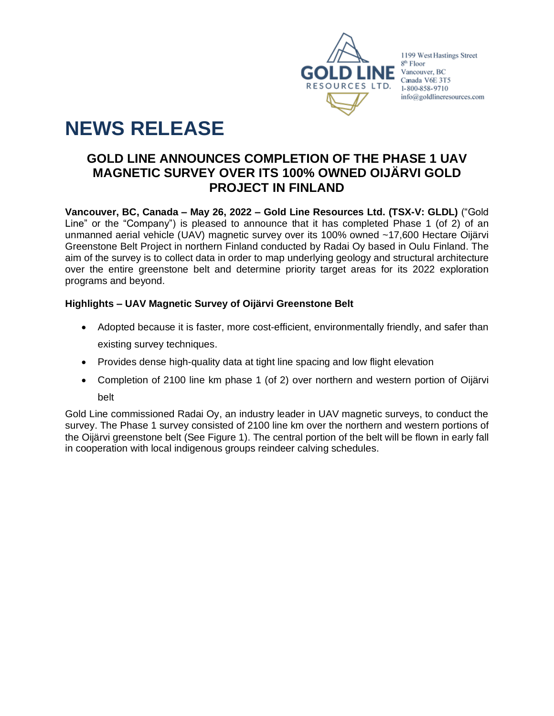

1199 West Hastings Street 8<sup>th</sup> Floor Vancouver, BC Canada V6E 3T5 1-800-858-9710 info@goldlineresources.com

# **NEWS RELEASE**

## **GOLD LINE ANNOUNCES COMPLETION OF THE PHASE 1 UAV MAGNETIC SURVEY OVER ITS 100% OWNED OIJÄRVI GOLD PROJECT IN FINLAND**

**Vancouver, BC, Canada – May 26, 2022 – Gold Line Resources Ltd. (TSX-V: GLDL)** ("Gold Line" or the "Company") is pleased to announce that it has completed Phase 1 (of 2) of an unmanned aerial vehicle (UAV) magnetic survey over its 100% owned ~17,600 Hectare Oijärvi Greenstone Belt Project in northern Finland conducted by Radai Oy based in Oulu Finland. The aim of the survey is to collect data in order to map underlying geology and structural architecture over the entire greenstone belt and determine priority target areas for its 2022 exploration programs and beyond.

### **Highlights – UAV Magnetic Survey of Oijärvi Greenstone Belt**

- Adopted because it is faster, more cost-efficient, environmentally friendly, and safer than existing survey techniques.
- Provides dense high-quality data at tight line spacing and low flight elevation
- Completion of 2100 line km phase 1 (of 2) over northern and western portion of Oijärvi belt

Gold Line commissioned Radai Oy, an industry leader in UAV magnetic surveys, to conduct the survey. The Phase 1 survey consisted of 2100 line km over the northern and western portions of the Oijärvi greenstone belt (See Figure 1). The central portion of the belt will be flown in early fall in cooperation with local indigenous groups reindeer calving schedules.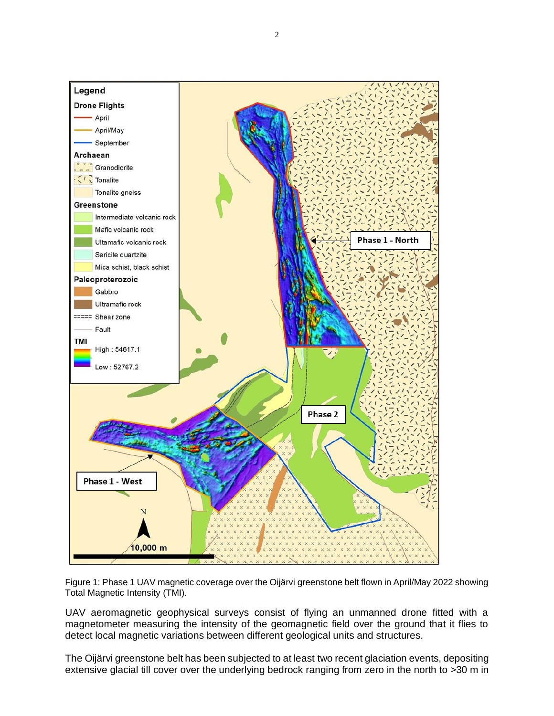

Figure 1: Phase 1 UAV magnetic coverage over the Oijärvi greenstone belt flown in April/May 2022 showing Total Magnetic Intensity (TMI).

UAV aeromagnetic geophysical surveys consist of flying an unmanned drone fitted with a magnetometer measuring the intensity of the geomagnetic field over the ground that it flies to detect local magnetic variations between different geological units and structures.

The Oijärvi greenstone belt has been subjected to at least two recent glaciation events, depositing extensive glacial till cover over the underlying bedrock ranging from zero in the north to >30 m in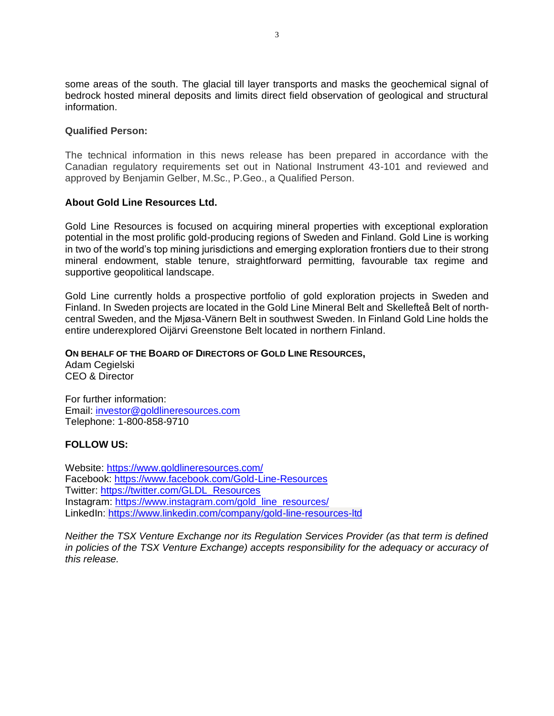some areas of the south. The glacial till layer transports and masks the geochemical signal of bedrock hosted mineral deposits and limits direct field observation of geological and structural information.

#### **Qualified Person:**

The technical information in this news release has been prepared in accordance with the Canadian regulatory requirements set out in National Instrument 43-101 and reviewed and approved by Benjamin Gelber, M.Sc., P.Geo., a Qualified Person.

#### **About Gold Line Resources Ltd.**

Gold Line Resources is focused on acquiring mineral properties with exceptional exploration potential in the most prolific gold-producing regions of Sweden and Finland. Gold Line is working in two of the world's top mining jurisdictions and emerging exploration frontiers due to their strong mineral endowment, stable tenure, straightforward permitting, favourable tax regime and supportive geopolitical landscape.

Gold Line currently holds a prospective portfolio of gold exploration projects in Sweden and Finland. In Sweden projects are located in the Gold Line Mineral Belt and Skellefteå Belt of northcentral Sweden, and the Mjøsa-Vänern Belt in southwest Sweden. In Finland Gold Line holds the entire underexplored Oijärvi Greenstone Belt located in northern Finland.

#### **ON BEHALF OF THE BOARD OF DIRECTORS OF GOLD LINE RESOURCES,**

Adam Cegielski CEO & Director

For further information: Email: [investor@goldlineresources.com](mailto:investor@goldlineresources.com) Telephone: 1-800-858-9710

#### **FOLLOW US:**

Website:<https://www.goldlineresources.com/> Facebook:<https://www.facebook.com/Gold-Line-Resources> Twitter: [https://twitter.com/GLDL\\_Resources](https://twitter.com/GLDL_Resources) Instagram: [https://www.instagram.com/gold\\_line\\_resources/](https://www.instagram.com/gold_line_resources/) LinkedIn: <https://www.linkedin.com/company/gold-line-resources-ltd>

*Neither the TSX Venture Exchange nor its Regulation Services Provider (as that term is defined in policies of the TSX Venture Exchange) accepts responsibility for the adequacy or accuracy of this release.*